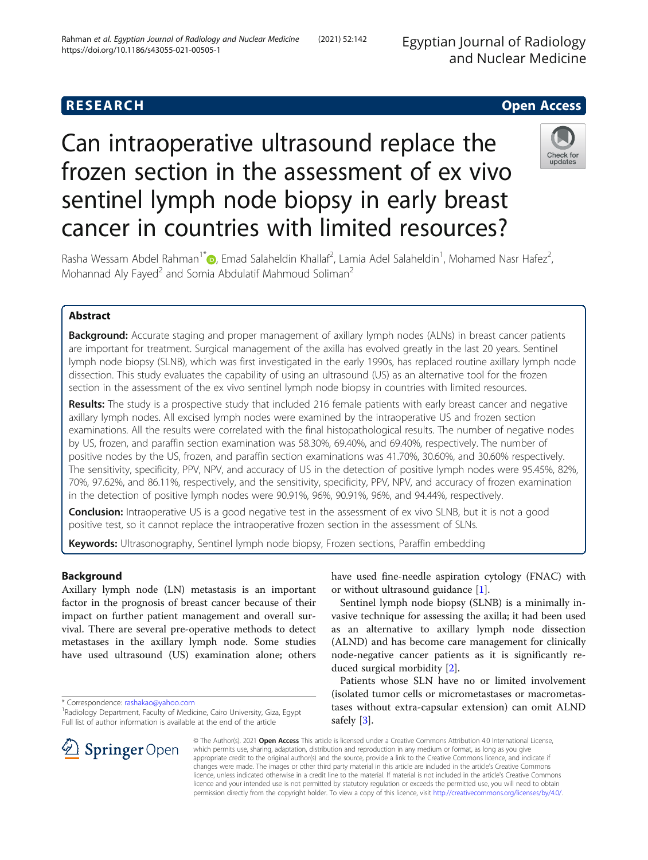Egyptian Journal of Radiology and Nuclear Medicine

# **RESEARCH CHE Open Access**

# Can intraoperative ultrasound replace the frozen section in the assessment of ex vivo sentinel lymph node biopsy in early breast cancer in countries with limited resources?



Rasha Wessam Abdel Rahman<sup>1\*</sup> $\bullet$ [,](http://orcid.org/0000-0002-4716-5545) Emad Salaheldin Khallaf<sup>2</sup>, Lamia Adel Salaheldin<sup>1</sup>, Mohamed Nasr Hafez<sup>2</sup> .<br>, Mohannad Aly Fayed<sup>2</sup> and Somia Abdulatif Mahmoud Soliman<sup>2</sup>

# Abstract

**Background:** Accurate staging and proper management of axillary lymph nodes (ALNs) in breast cancer patients are important for treatment. Surgical management of the axilla has evolved greatly in the last 20 years. Sentinel lymph node biopsy (SLNB), which was first investigated in the early 1990s, has replaced routine axillary lymph node dissection. This study evaluates the capability of using an ultrasound (US) as an alternative tool for the frozen section in the assessment of the ex vivo sentinel lymph node biopsy in countries with limited resources.

Results: The study is a prospective study that included 216 female patients with early breast cancer and negative axillary lymph nodes. All excised lymph nodes were examined by the intraoperative US and frozen section examinations. All the results were correlated with the final histopathological results. The number of negative nodes by US, frozen, and paraffin section examination was 58.30%, 69.40%, and 69.40%, respectively. The number of positive nodes by the US, frozen, and paraffin section examinations was 41.70%, 30.60%, and 30.60% respectively. The sensitivity, specificity, PPV, NPV, and accuracy of US in the detection of positive lymph nodes were 95.45%, 82%, 70%, 97.62%, and 86.11%, respectively, and the sensitivity, specificity, PPV, NPV, and accuracy of frozen examination in the detection of positive lymph nodes were 90.91%, 96%, 90.91%, 96%, and 94.44%, respectively.

**Conclusion:** Intraoperative US is a good negative test in the assessment of ex vivo SLNB, but it is not a good positive test, so it cannot replace the intraoperative frozen section in the assessment of SLNs.

Keywords: Ultrasonography, Sentinel lymph node biopsy, Frozen sections, Paraffin embedding

## Background

Axillary lymph node (LN) metastasis is an important factor in the prognosis of breast cancer because of their impact on further patient management and overall survival. There are several pre-operative methods to detect metastases in the axillary lymph node. Some studies have used ultrasound (US) examination alone; others

have used fine-needle aspiration cytology (FNAC) with or without ultrasound guidance [\[1](#page-5-0)].

Sentinel lymph node biopsy (SLNB) is a minimally invasive technique for assessing the axilla; it had been used as an alternative to axillary lymph node dissection (ALND) and has become care management for clinically node-negative cancer patients as it is significantly reduced surgical morbidity [[2\]](#page-5-0).

Patients whose SLN have no or limited involvement (isolated tumor cells or micrometastases or macrometastases without extra-capsular extension) can omit ALND safely [\[3](#page-5-0)].



© The Author(s). 2021 Open Access This article is licensed under a Creative Commons Attribution 4.0 International License, which permits use, sharing, adaptation, distribution and reproduction in any medium or format, as long as you give appropriate credit to the original author(s) and the source, provide a link to the Creative Commons licence, and indicate if changes were made. The images or other third party material in this article are included in the article's Creative Commons licence, unless indicated otherwise in a credit line to the material. If material is not included in the article's Creative Commons licence and your intended use is not permitted by statutory regulation or exceeds the permitted use, you will need to obtain permission directly from the copyright holder. To view a copy of this licence, visit <http://creativecommons.org/licenses/by/4.0/>.

<sup>\*</sup> Correspondence: [rashakao@yahoo.com](mailto:rashakao@yahoo.com) <sup>1</sup>

<sup>&</sup>lt;sup>1</sup> Radiology Department, Faculty of Medicine, Cairo University, Giza, Egypt Full list of author information is available at the end of the article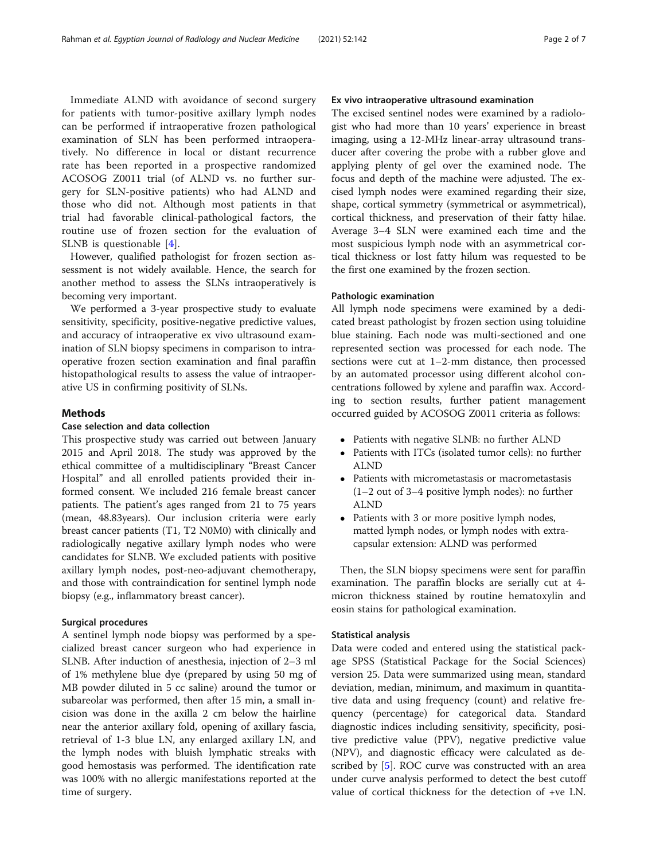for patients with tumor-positive axillary lymph nodes can be performed if intraoperative frozen pathological examination of SLN has been performed intraoperatively. No difference in local or distant recurrence rate has been reported in a prospective randomized ACOSOG Z0011 trial (of ALND vs. no further surgery for SLN-positive patients) who had ALND and those who did not. Although most patients in that trial had favorable clinical-pathological factors, the routine use of frozen section for the evaluation of SLNB is questionable [[4\]](#page-5-0).

However, qualified pathologist for frozen section assessment is not widely available. Hence, the search for another method to assess the SLNs intraoperatively is becoming very important.

We performed a 3-year prospective study to evaluate sensitivity, specificity, positive-negative predictive values, and accuracy of intraoperative ex vivo ultrasound examination of SLN biopsy specimens in comparison to intraoperative frozen section examination and final paraffin histopathological results to assess the value of intraoperative US in confirming positivity of SLNs.

### **Methods**

#### Case selection and data collection

This prospective study was carried out between January 2015 and April 2018. The study was approved by the ethical committee of a multidisciplinary "Breast Cancer Hospital" and all enrolled patients provided their informed consent. We included 216 female breast cancer patients. The patient's ages ranged from 21 to 75 years (mean, 48.83years). Our inclusion criteria were early breast cancer patients (T1, T2 N0M0) with clinically and radiologically negative axillary lymph nodes who were candidates for SLNB. We excluded patients with positive axillary lymph nodes, post-neo-adjuvant chemotherapy, and those with contraindication for sentinel lymph node biopsy (e.g., inflammatory breast cancer).

#### Surgical procedures

A sentinel lymph node biopsy was performed by a specialized breast cancer surgeon who had experience in SLNB. After induction of anesthesia, injection of 2–3 ml of 1% methylene blue dye (prepared by using 50 mg of MB powder diluted in 5 cc saline) around the tumor or subareolar was performed, then after 15 min, a small incision was done in the axilla 2 cm below the hairline near the anterior axillary fold, opening of axillary fascia, retrieval of 1-3 blue LN, any enlarged axillary LN, and the lymph nodes with bluish lymphatic streaks with good hemostasis was performed. The identification rate was 100% with no allergic manifestations reported at the time of surgery.

#### Ex vivo intraoperative ultrasound examination

The excised sentinel nodes were examined by a radiologist who had more than 10 years' experience in breast imaging, using a 12-MHz linear-array ultrasound transducer after covering the probe with a rubber glove and applying plenty of gel over the examined node. The focus and depth of the machine were adjusted. The excised lymph nodes were examined regarding their size, shape, cortical symmetry (symmetrical or asymmetrical), cortical thickness, and preservation of their fatty hilae. Average 3–4 SLN were examined each time and the most suspicious lymph node with an asymmetrical cortical thickness or lost fatty hilum was requested to be the first one examined by the frozen section.

#### Pathologic examination

All lymph node specimens were examined by a dedicated breast pathologist by frozen section using toluidine blue staining. Each node was multi-sectioned and one represented section was processed for each node. The sections were cut at 1–2-mm distance, then processed by an automated processor using different alcohol concentrations followed by xylene and paraffin wax. According to section results, further patient management occurred guided by ACOSOG Z0011 criteria as follows:

- Patients with negative SLNB: no further ALND
- Patients with ITCs (isolated tumor cells): no further ALND
- Patients with micrometastasis or macrometastasis (1–2 out of 3–4 positive lymph nodes): no further ALND
- Patients with 3 or more positive lymph nodes, matted lymph nodes, or lymph nodes with extracapsular extension: ALND was performed

Then, the SLN biopsy specimens were sent for paraffin examination. The paraffin blocks are serially cut at 4 micron thickness stained by routine hematoxylin and eosin stains for pathological examination.

#### Statistical analysis

Data were coded and entered using the statistical package SPSS (Statistical Package for the Social Sciences) version 25. Data were summarized using mean, standard deviation, median, minimum, and maximum in quantitative data and using frequency (count) and relative frequency (percentage) for categorical data. Standard diagnostic indices including sensitivity, specificity, positive predictive value (PPV), negative predictive value (NPV), and diagnostic efficacy were calculated as described by [[5](#page-5-0)]. ROC curve was constructed with an area under curve analysis performed to detect the best cutoff value of cortical thickness for the detection of +ve LN.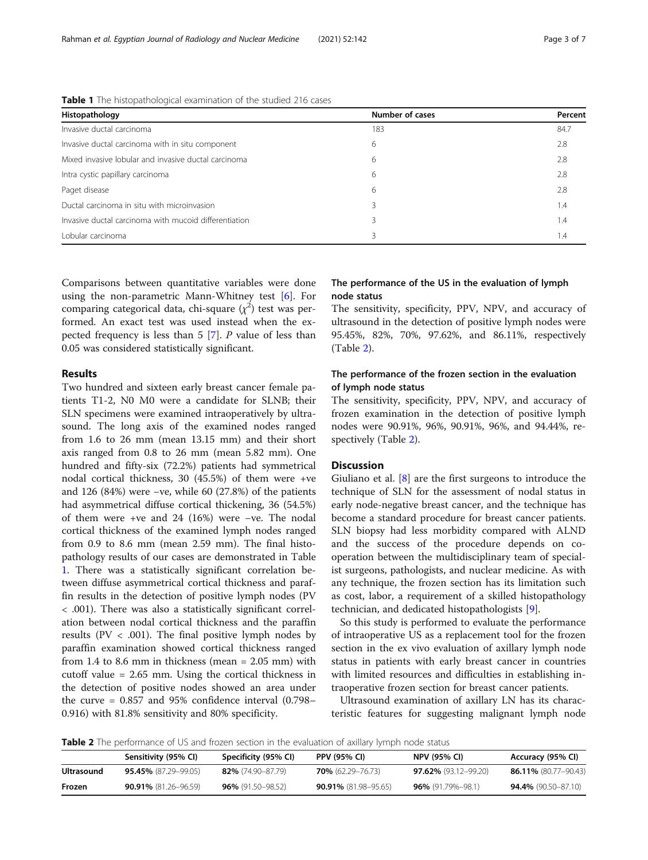| Histopathology                                        | <b>Number of cases</b> | Percent |  |
|-------------------------------------------------------|------------------------|---------|--|
| Invasive ductal carcinoma                             | 183                    | 84.7    |  |
| Invasive ductal carcinoma with in situ component      | 6                      | 2.8     |  |
| Mixed invasive lobular and invasive ductal carcinoma  | 6                      | 2.8     |  |
| Intra cystic papillary carcinoma                      | 6                      | 2.8     |  |
| Paget disease                                         | 6                      | 2.8     |  |
| Ductal carcinoma in situ with microinvasion           | 3                      | 1.4     |  |
| Invasive ductal carcinoma with mucoid differentiation |                        | 1.4     |  |
| Lobular carcinoma                                     |                        | 1.4     |  |

Table 1 The histopathological examination of the studied 216 cases

Comparisons between quantitative variables were done using the non-parametric Mann-Whitney test [\[6](#page-5-0)]. For comparing categorical data, chi-square  $(\chi^2)$  test was performed. An exact test was used instead when the expected frequency is less than 5 [[7\]](#page-5-0). P value of less than 0.05 was considered statistically significant.

#### Results

Two hundred and sixteen early breast cancer female patients T1-2, N0 M0 were a candidate for SLNB; their SLN specimens were examined intraoperatively by ultrasound. The long axis of the examined nodes ranged from 1.6 to 26 mm (mean 13.15 mm) and their short axis ranged from 0.8 to 26 mm (mean 5.82 mm). One hundred and fifty-six (72.2%) patients had symmetrical nodal cortical thickness, 30 (45.5%) of them were +ve and 126 (84%) were −ve, while 60 (27.8%) of the patients had asymmetrical diffuse cortical thickening, 36 (54.5%) of them were +ve and 24 (16%) were −ve. The nodal cortical thickness of the examined lymph nodes ranged from 0.9 to 8.6 mm (mean 2.59 mm). The final histopathology results of our cases are demonstrated in Table 1. There was a statistically significant correlation between diffuse asymmetrical cortical thickness and paraffin results in the detection of positive lymph nodes (PV < .001). There was also a statistically significant correlation between nodal cortical thickness and the paraffin results ( $PV < .001$ ). The final positive lymph nodes by paraffin examination showed cortical thickness ranged from 1.4 to 8.6 mm in thickness (mean = 2.05 mm) with cutoff value = 2.65 mm. Using the cortical thickness in the detection of positive nodes showed an area under the curve  $= 0.857$  and 95% confidence interval (0.798– 0.916) with 81.8% sensitivity and 80% specificity.

#### The performance of the US in the evaluation of lymph node status

The sensitivity, specificity, PPV, NPV, and accuracy of ultrasound in the detection of positive lymph nodes were 95.45%, 82%, 70%, 97.62%, and 86.11%, respectively (Table 2).

#### The performance of the frozen section in the evaluation of lymph node status

The sensitivity, specificity, PPV, NPV, and accuracy of frozen examination in the detection of positive lymph nodes were 90.91%, 96%, 90.91%, 96%, and 94.44%, respectively (Table 2).

#### **Discussion**

Giuliano et al. [[8](#page-5-0)] are the first surgeons to introduce the technique of SLN for the assessment of nodal status in early node-negative breast cancer, and the technique has become a standard procedure for breast cancer patients. SLN biopsy had less morbidity compared with ALND and the success of the procedure depends on cooperation between the multidisciplinary team of specialist surgeons, pathologists, and nuclear medicine. As with any technique, the frozen section has its limitation such as cost, labor, a requirement of a skilled histopathology technician, and dedicated histopathologists [[9\]](#page-5-0).

So this study is performed to evaluate the performance of intraoperative US as a replacement tool for the frozen section in the ex vivo evaluation of axillary lymph node status in patients with early breast cancer in countries with limited resources and difficulties in establishing intraoperative frozen section for breast cancer patients.

Ultrasound examination of axillary LN has its characteristic features for suggesting malignant lymph node

Table 2 The performance of US and frozen section in the evaluation of axillary lymph node status

|            | Sensitivity (95% CI)        | Specificity (95% CI)     | <b>PPV (95% CI)</b>          | <b>NPV (95% CI)</b>         | Accuracy (95% CI)           |  |
|------------|-----------------------------|--------------------------|------------------------------|-----------------------------|-----------------------------|--|
| Ultrasound | <b>95.45%</b> (87.29–99.05) | 82% (74.90-87.79)        | <b>70%</b> $(62.29 - 76.73)$ | <b>97.62%</b> (93.12–99.20) | <b>86.11%</b> (80.77–90.43) |  |
| Frozen     | <b>90.91%</b> (81.26-96.59) | <b>96%</b> (91.50–98.52) | <b>90.91%</b> (81.98-95.65)  | <b>96%</b> (91.79%-98.1)    | <b>94.4%</b> (90.50–87.10)  |  |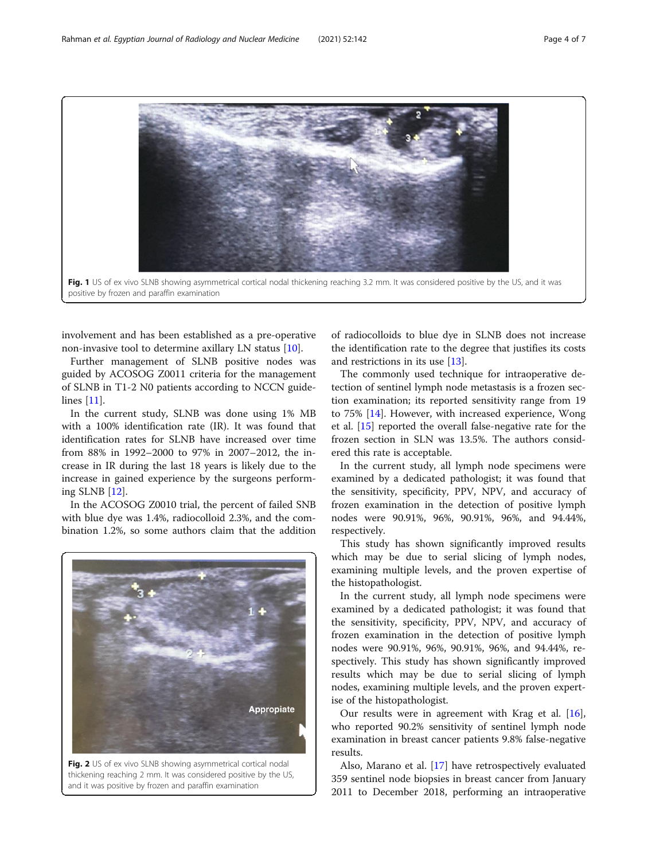<span id="page-3-0"></span>

involvement and has been established as a pre-operative non-invasive tool to determine axillary LN status [[10](#page-5-0)].

Further management of SLNB positive nodes was guided by ACOSOG Z0011 criteria for the management of SLNB in T1-2 N0 patients according to NCCN guidelines [[11](#page-5-0)].

In the current study, SLNB was done using 1% MB with a 100% identification rate (IR). It was found that identification rates for SLNB have increased over time from 88% in 1992–2000 to 97% in 2007–2012, the increase in IR during the last 18 years is likely due to the increase in gained experience by the surgeons performing SLNB [\[12](#page-6-0)].

In the ACOSOG Z0010 trial, the percent of failed SNB with blue dye was 1.4%, radiocolloid 2.3%, and the combination 1.2%, so some authors claim that the addition



thickening reaching 2 mm. It was considered positive by the US, and it was positive by frozen and paraffin examination

of radiocolloids to blue dye in SLNB does not increase the identification rate to the degree that justifies its costs and restrictions in its use [\[13](#page-6-0)].

The commonly used technique for intraoperative detection of sentinel lymph node metastasis is a frozen section examination; its reported sensitivity range from 19 to 75% [[14\]](#page-6-0). However, with increased experience, Wong et al. [\[15](#page-6-0)] reported the overall false-negative rate for the frozen section in SLN was 13.5%. The authors considered this rate is acceptable.

In the current study, all lymph node specimens were examined by a dedicated pathologist; it was found that the sensitivity, specificity, PPV, NPV, and accuracy of frozen examination in the detection of positive lymph nodes were 90.91%, 96%, 90.91%, 96%, and 94.44%, respectively.

This study has shown significantly improved results which may be due to serial slicing of lymph nodes, examining multiple levels, and the proven expertise of the histopathologist.

In the current study, all lymph node specimens were examined by a dedicated pathologist; it was found that the sensitivity, specificity, PPV, NPV, and accuracy of frozen examination in the detection of positive lymph nodes were 90.91%, 96%, 90.91%, 96%, and 94.44%, respectively. This study has shown significantly improved results which may be due to serial slicing of lymph nodes, examining multiple levels, and the proven expertise of the histopathologist.

Our results were in agreement with Krag et al. [\[16](#page-6-0)], who reported 90.2% sensitivity of sentinel lymph node examination in breast cancer patients 9.8% false-negative results.

Also, Marano et al. [[17\]](#page-6-0) have retrospectively evaluated 359 sentinel node biopsies in breast cancer from January 2011 to December 2018, performing an intraoperative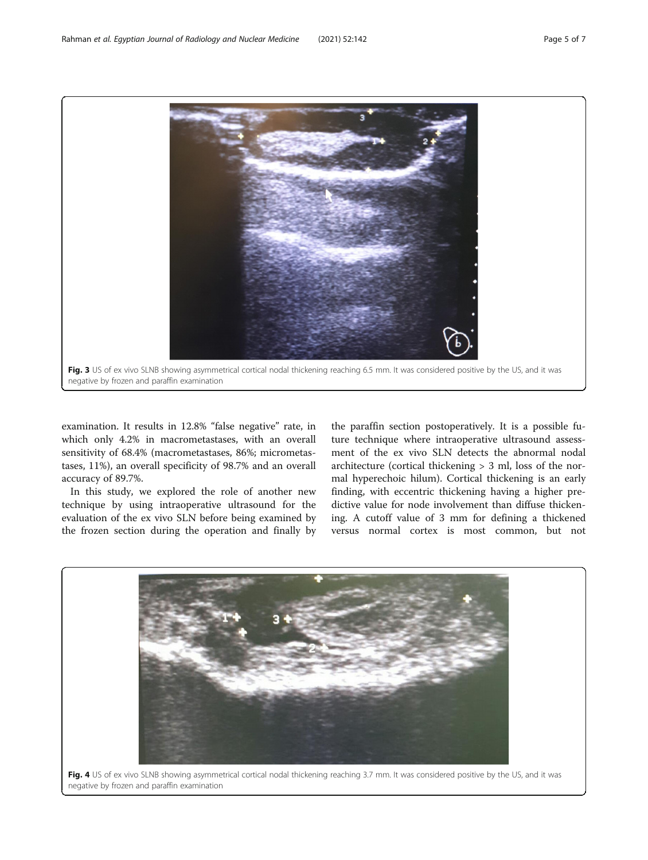<span id="page-4-0"></span>

examination. It results in 12.8% "false negative" rate, in which only 4.2% in macrometastases, with an overall sensitivity of 68.4% (macrometastases, 86%; micrometastases, 11%), an overall specificity of 98.7% and an overall accuracy of 89.7%.

In this study, we explored the role of another new technique by using intraoperative ultrasound for the evaluation of the ex vivo SLN before being examined by the frozen section during the operation and finally by

the paraffin section postoperatively. It is a possible future technique where intraoperative ultrasound assessment of the ex vivo SLN detects the abnormal nodal architecture (cortical thickening > 3 ml, loss of the normal hyperechoic hilum). Cortical thickening is an early finding, with eccentric thickening having a higher predictive value for node involvement than diffuse thickening. A cutoff value of 3 mm for defining a thickened versus normal cortex is most common, but not

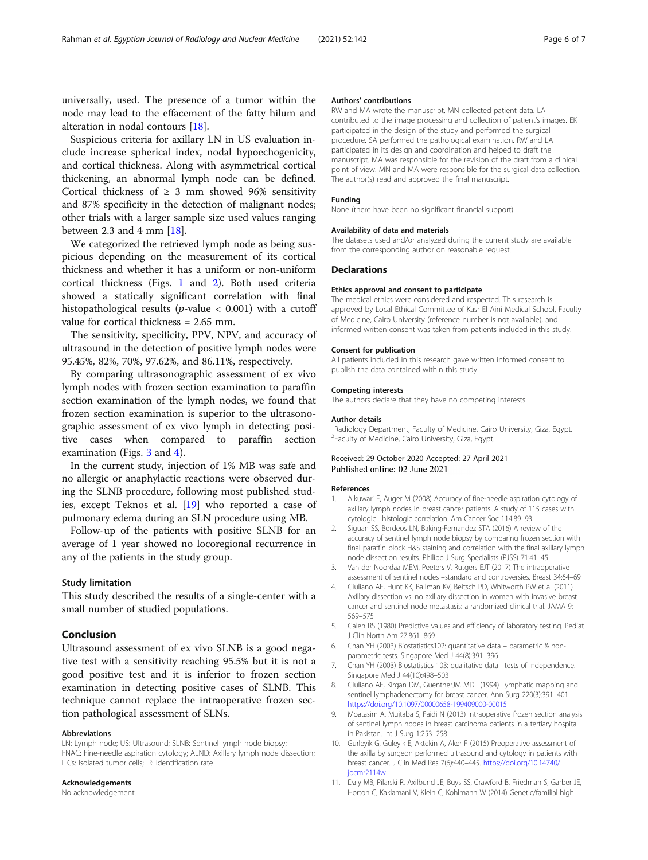<span id="page-5-0"></span>universally, used. The presence of a tumor within the node may lead to the effacement of the fatty hilum and alteration in nodal contours [\[18\]](#page-6-0).

Suspicious criteria for axillary LN in US evaluation include increase spherical index, nodal hypoechogenicity, and cortical thickness. Along with asymmetrical cortical thickening, an abnormal lymph node can be defined. Cortical thickness of  $\geq$  3 mm showed 96% sensitivity and 87% specificity in the detection of malignant nodes; other trials with a larger sample size used values ranging between 2.3 and 4 mm  $[18]$  $[18]$  $[18]$ .

We categorized the retrieved lymph node as being suspicious depending on the measurement of its cortical thickness and whether it has a uniform or non-uniform cortical thickness (Figs. [1](#page-3-0) and [2\)](#page-3-0). Both used criteria showed a statically significant correlation with final histopathological results ( $p$ -value < 0.001) with a cutoff value for cortical thickness = 2.65 mm.

The sensitivity, specificity, PPV, NPV, and accuracy of ultrasound in the detection of positive lymph nodes were 95.45%, 82%, 70%, 97.62%, and 86.11%, respectively.

By comparing ultrasonographic assessment of ex vivo lymph nodes with frozen section examination to paraffin section examination of the lymph nodes, we found that frozen section examination is superior to the ultrasonographic assessment of ex vivo lymph in detecting positive cases when compared to paraffin section examination (Figs. [3](#page-4-0) and [4](#page-4-0)).

In the current study, injection of 1% MB was safe and no allergic or anaphylactic reactions were observed during the SLNB procedure, following most published studies, except Teknos et al. [\[19\]](#page-6-0) who reported a case of pulmonary edema during an SLN procedure using MB.

Follow-up of the patients with positive SLNB for an average of 1 year showed no locoregional recurrence in any of the patients in the study group.

#### Study limitation

This study described the results of a single-center with a small number of studied populations.

#### Conclusion

Ultrasound assessment of ex vivo SLNB is a good negative test with a sensitivity reaching 95.5% but it is not a good positive test and it is inferior to frozen section examination in detecting positive cases of SLNB. This technique cannot replace the intraoperative frozen section pathological assessment of SLNs.

#### Abbreviations

LN: Lymph node; US: Ultrasound; SLNB: Sentinel lymph node biopsy; FNAC: Fine-needle aspiration cytology; ALND: Axillary lymph node dissection; ITCs: Isolated tumor cells; IR: Identification rate

#### Acknowledgements

No acknowledgement.

#### Authors' contributions

RW and MA wrote the manuscript. MN collected patient data. LA contributed to the image processing and collection of patient's images. EK participated in the design of the study and performed the surgical procedure. SA performed the pathological examination. RW and LA participated in its design and coordination and helped to draft the manuscript. MA was responsible for the revision of the draft from a clinical point of view. MN and MA were responsible for the surgical data collection. The author(s) read and approved the final manuscript.

#### Funding

None (there have been no significant financial support)

#### Availability of data and materials

The datasets used and/or analyzed during the current study are available from the corresponding author on reasonable request.

#### **Declarations**

#### Ethics approval and consent to participate

The medical ethics were considered and respected. This research is approved by Local Ethical Committee of Kasr El Aini Medical School, Faculty of Medicine, Cairo University (reference number is not available), and informed written consent was taken from patients included in this study.

#### Consent for publication

All patients included in this research gave written informed consent to publish the data contained within this study.

#### Competing interests

The authors declare that they have no competing interests.

#### Author details

<sup>1</sup> Radiology Department, Faculty of Medicine, Cairo University, Giza, Egypt. <sup>2</sup> Faculty of Medicine, Cairo University, Giza, Egypt.

#### Received: 29 October 2020 Accepted: 27 April 2021 Published online: 02 June 2021

#### References

- 1. Alkuwari E, Auger M (2008) Accuracy of fine-needle aspiration cytology of axillary lymph nodes in breast cancer patients. A study of 115 cases with cytologic –histologic correlation. Am Cancer Soc 114:89–93
- 2. Siguan SS, Bordeos LN, Baking-Fernandez STA (2016) A review of the accuracy of sentinel lymph node biopsy by comparing frozen section with final paraffin block H&S staining and correlation with the final axillary lymph node dissection results. Philipp J Surg Specialists (PJSS) 71:41–45
- 3. Van der Noordaa MEM, Peeters V, Rutgers EJT (2017) The intraoperative assessment of sentinel nodes –standard and controversies. Breast 34:64–69
- 4. Giuliano AE, Hunt KK, Ballman KV, Beitsch PD, Whitworth PW et al (2011) Axillary dissection vs. no axillary dissection in women with invasive breast cancer and sentinel node metastasis: a randomized clinical trial. JAMA 9: 569–575
- 5. Galen RS (1980) Predictive values and efficiency of laboratory testing. Pediat J Clin North Am 27:861–869
- 6. Chan YH (2003) Biostatistics102: quantitative data parametric & nonparametric tests. Singapore Med J 44(8):391–396
- 7. Chan YH (2003) Biostatistics 103: qualitative data –tests of independence. Singapore Med J 44(10):498–503
- 8. Giuliano AE, Kirgan DM, GuentherJM MDL (1994) Lymphatic mapping and sentinel lymphadenectomy for breast cancer. Ann Surg 220(3):391–401. <https://doi.org/10.1097/00000658-199409000-00015>
- 9. Moatasim A, Mujtaba S, Faidi N (2013) Intraoperative frozen section analysis of sentinel lymph nodes in breast carcinoma patients in a tertiary hospital in Pakistan. Int J Surg 1:253–258
- 10. Gurleyik G, Guleyik E, Aktekin A, Aker F (2015) Preoperative assessment of the axilla by surgeon performed ultrasound and cytology in patients with breast cancer. J Clin Med Res 7(6):440–445. [https://doi.org/10.14740/](https://doi.org/10.14740/jocmr2114w) [jocmr2114w](https://doi.org/10.14740/jocmr2114w)
- 11. Daly MB, Pilarski R, Axilbund JE, Buys SS, Crawford B, Friedman S, Garber JE, Horton C, Kaklamani V, Klein C, Kohlmann W (2014) Genetic/familial high –